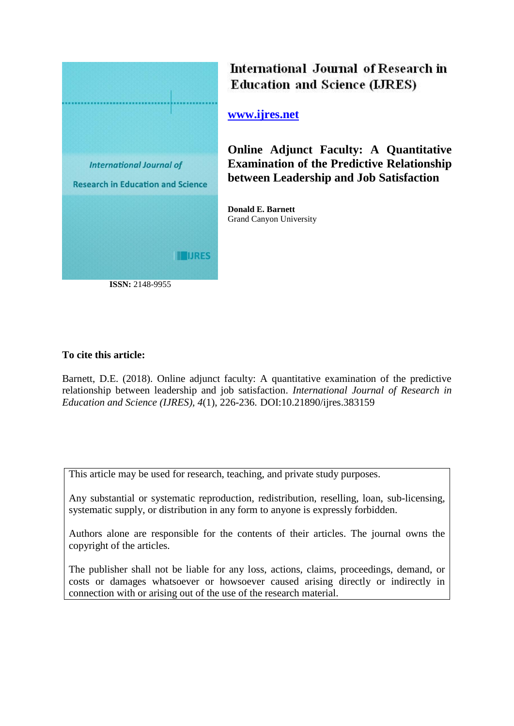

International Journal of Research in **Education and Science (LJRES)** 

**[www.ijres.net](http://www.ijres.net/)**

**Online Adjunct Faculty: A Quantitative Examination of the Predictive Relationship between Leadership and Job Satisfaction**

**Donald E. Barnett** Grand Canyon University

# **To cite this article:**

Barnett, D.E. (2018). Online adjunct faculty: A quantitative examination of the predictive relationship between leadership and job satisfaction. *International Journal of Research in Education and Science (IJRES), 4*(1), 226-236. DOI:10.21890/ijres.383159

This article may be used for research, teaching, and private study purposes.

Any substantial or systematic reproduction, redistribution, reselling, loan, sub-licensing, systematic supply, or distribution in any form to anyone is expressly forbidden.

Authors alone are responsible for the contents of their articles. The journal owns the copyright of the articles.

The publisher shall not be liable for any loss, actions, claims, proceedings, demand, or costs or damages whatsoever or howsoever caused arising directly or indirectly in connection with or arising out of the use of the research material.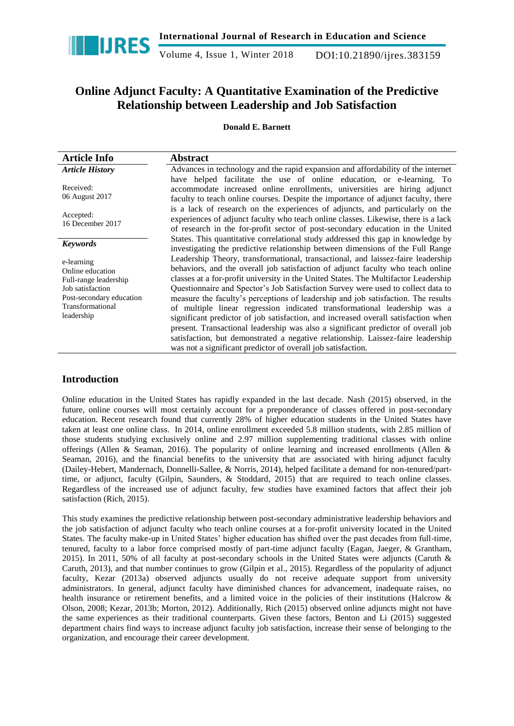

Volume 4, Issue 1, Winter 2018 DOI:10.21890/ijres.383159

# **Online Adjunct Faculty: A Quantitative Examination of the Predictive Relationship between Leadership and Job Satisfaction**

# **Donald E. Barnett**

| <b>Article Info</b>                                                                                                                       | <b>Abstract</b>                                                                                                                                                                                                                                                                                                                                                                                                                                                                                                                                                                                                                                                                                                                                                                                                                                 |
|-------------------------------------------------------------------------------------------------------------------------------------------|-------------------------------------------------------------------------------------------------------------------------------------------------------------------------------------------------------------------------------------------------------------------------------------------------------------------------------------------------------------------------------------------------------------------------------------------------------------------------------------------------------------------------------------------------------------------------------------------------------------------------------------------------------------------------------------------------------------------------------------------------------------------------------------------------------------------------------------------------|
| <b>Article History</b>                                                                                                                    | Advances in technology and the rapid expansion and affordability of the internet                                                                                                                                                                                                                                                                                                                                                                                                                                                                                                                                                                                                                                                                                                                                                                |
| Received:<br>06 August 2017                                                                                                               | have helped facilitate the use of online education, or e-learning. To<br>accommodate increased online enrollments, universities are hiring adjunct<br>faculty to teach online courses. Despite the importance of adjunct faculty, there                                                                                                                                                                                                                                                                                                                                                                                                                                                                                                                                                                                                         |
| Accepted:<br>16 December 2017                                                                                                             | is a lack of research on the experiences of adjuncts, and particularly on the<br>experiences of adjunct faculty who teach online classes. Likewise, there is a lack<br>of research in the for-profit sector of post-secondary education in the United                                                                                                                                                                                                                                                                                                                                                                                                                                                                                                                                                                                           |
| <b>Keywords</b>                                                                                                                           | States. This quantitative correlational study addressed this gap in knowledge by<br>investigating the predictive relationship between dimensions of the Full Range                                                                                                                                                                                                                                                                                                                                                                                                                                                                                                                                                                                                                                                                              |
| e-learning<br>Online education<br>Full-range leadership<br>Job satisfaction<br>Post-secondary education<br>Transformational<br>leadership | Leadership Theory, transformational, transactional, and laissez-faire leadership<br>behaviors, and the overall job satisfaction of adjunct faculty who teach online<br>classes at a for-profit university in the United States. The Multifactor Leadership<br>Questionnaire and Spector's Job Satisfaction Survey were used to collect data to<br>measure the faculty's perceptions of leadership and job satisfaction. The results<br>of multiple linear regression indicated transformational leadership was a<br>significant predictor of job satisfaction, and increased overall satisfaction when<br>present. Transactional leadership was also a significant predictor of overall job<br>satisfaction, but demonstrated a negative relationship. Laissez-faire leadership<br>was not a significant predictor of overall job satisfaction. |

# **Introduction**

Online education in the United States has rapidly expanded in the last decade. Nash (2015) observed, in the future, online courses will most certainly account for a preponderance of classes offered in post-secondary education. Recent research found that currently 28% of higher education students in the United States have taken at least one online class. In 2014, online enrollment exceeded 5.8 million students, with 2.85 million of those students studying exclusively online and 2.97 million supplementing traditional classes with online offerings (Allen & Seaman, 2016). The popularity of online learning and increased enrollments (Allen & Seaman, 2016), and the financial benefits to the university that are associated with hiring adjunct faculty (Dailey-Hebert, Mandernach, Donnelli-Sallee, & Norris, 2014), helped facilitate a demand for non-tenured/parttime, or adjunct, faculty (Gilpin, Saunders, & Stoddard, 2015) that are required to teach online classes. Regardless of the increased use of adjunct faculty, few studies have examined factors that affect their job satisfaction (Rich, 2015).

This study examines the predictive relationship between post-secondary administrative leadership behaviors and the job satisfaction of adjunct faculty who teach online courses at a for-profit university located in the United States. The faculty make-up in United States' higher education has shifted over the past decades from full-time, tenured, faculty to a labor force comprised mostly of part-time adjunct faculty (Eagan, Jaeger, & Grantham, 2015). In 2011, 50% of all faculty at post-secondary schools in the United States were adjuncts (Caruth & Caruth, 2013), and that number continues to grow (Gilpin et al., 2015). Regardless of the popularity of adjunct faculty, Kezar (2013a) observed adjuncts usually do not receive adequate support from university administrators. In general, adjunct faculty have diminished chances for advancement, inadequate raises, no health insurance or retirement benefits, and a limited voice in the policies of their institutions (Halcrow & Olson, 2008; Kezar, 2013b; Morton, 2012). Additionally, Rich (2015) observed online adjuncts might not have the same experiences as their traditional counterparts. Given these factors, Benton and Li (2015) suggested department chairs find ways to increase adjunct faculty job satisfaction, increase their sense of belonging to the organization, and encourage their career development.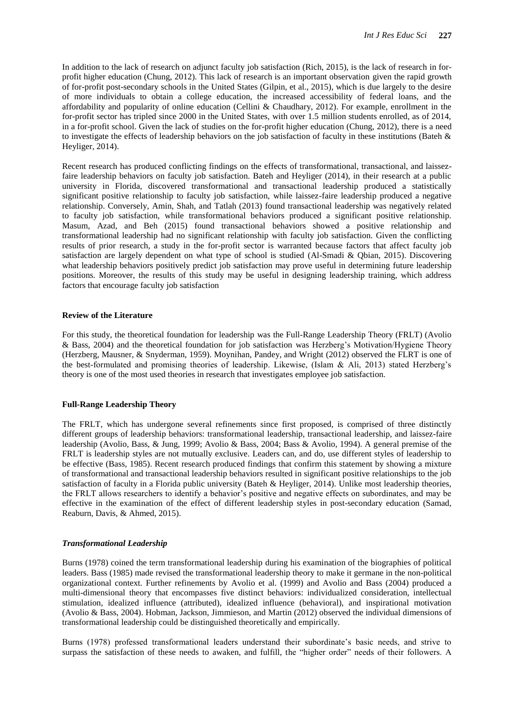In addition to the lack of research on adjunct faculty job satisfaction (Rich, 2015), is the lack of research in forprofit higher education (Chung, 2012). This lack of research is an important observation given the rapid growth of for-profit post-secondary schools in the United States (Gilpin, et al., 2015), which is due largely to the desire of more individuals to obtain a college education, the increased accessibility of federal loans, and the affordability and popularity of online education (Cellini & Chaudhary, 2012). For example, enrollment in the for-profit sector has tripled since 2000 in the United States, with over 1.5 million students enrolled, as of 2014, in a for-profit school. Given the lack of studies on the for-profit higher education (Chung, 2012), there is a need to investigate the effects of leadership behaviors on the job satisfaction of faculty in these institutions (Bateh & Heyliger, 2014).

Recent research has produced conflicting findings on the effects of transformational, transactional, and laissezfaire leadership behaviors on faculty job satisfaction. Bateh and Heyliger (2014), in their research at a public university in Florida, discovered transformational and transactional leadership produced a statistically significant positive relationship to faculty job satisfaction, while laissez-faire leadership produced a negative relationship. Conversely, Amin, Shah, and Tatlah (2013) found transactional leadership was negatively related to faculty job satisfaction, while transformational behaviors produced a significant positive relationship. Masum, Azad, and Beh (2015) found transactional behaviors showed a positive relationship and transformational leadership had no significant relationship with faculty job satisfaction. Given the conflicting results of prior research, a study in the for-profit sector is warranted because factors that affect faculty job satisfaction are largely dependent on what type of school is studied (Al-Smadi & Qbian, 2015). Discovering what leadership behaviors positively predict job satisfaction may prove useful in determining future leadership positions. Moreover, the results of this study may be useful in designing leadership training, which address factors that encourage faculty job satisfaction

#### **Review of the Literature**

For this study, the theoretical foundation for leadership was the Full-Range Leadership Theory (FRLT) (Avolio & Bass, 2004) and the theoretical foundation for job satisfaction was Herzberg's Motivation/Hygiene Theory (Herzberg, Mausner, & Snyderman, 1959). Moynihan, Pandey, and Wright (2012) observed the FLRT is one of the best-formulated and promising theories of leadership. Likewise, (Islam & Ali, 2013) stated Herzberg's theory is one of the most used theories in research that investigates employee job satisfaction.

#### **Full-Range Leadership Theory**

The FRLT, which has undergone several refinements since first proposed, is comprised of three distinctly different groups of leadership behaviors: transformational leadership, transactional leadership, and laissez-faire leadership (Avolio, Bass, & Jung, 1999; Avolio & Bass, 2004; Bass & Avolio, 1994). A general premise of the FRLT is leadership styles are not mutually exclusive. Leaders can, and do, use different styles of leadership to be effective (Bass, 1985). Recent research produced findings that confirm this statement by showing a mixture of transformational and transactional leadership behaviors resulted in significant positive relationships to the job satisfaction of faculty in a Florida public university (Bateh & Heyliger, 2014). Unlike most leadership theories, the FRLT allows researchers to identify a behavior's positive and negative effects on subordinates, and may be effective in the examination of the effect of different leadership styles in post-secondary education (Samad, Reaburn, Davis, & Ahmed, 2015).

#### *Transformational Leadership*

Burns (1978) coined the term transformational leadership during his examination of the biographies of political leaders. Bass (1985) made revised the transformational leadership theory to make it germane in the non-political organizational context. Further refinements by Avolio et al. (1999) and Avolio and Bass (2004) produced a multi-dimensional theory that encompasses five distinct behaviors: individualized consideration, intellectual stimulation, idealized influence (attributed), idealized influence (behavioral), and inspirational motivation (Avolio & Bass, 2004). Hobman, Jackson, Jimmieson, and Martin (2012) observed the individual dimensions of transformational leadership could be distinguished theoretically and empirically.

Burns (1978) professed transformational leaders understand their subordinate's basic needs, and strive to surpass the satisfaction of these needs to awaken, and fulfill, the "higher order" needs of their followers. A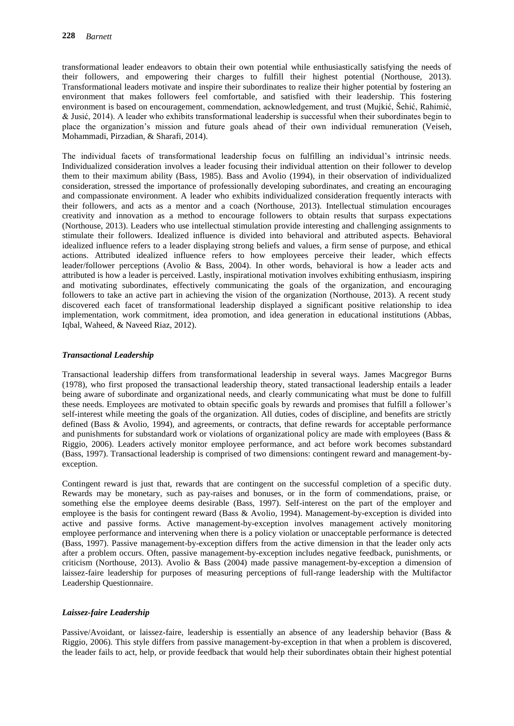transformational leader endeavors to obtain their own potential while enthusiastically satisfying the needs of their followers, and empowering their charges to fulfill their highest potential (Northouse, 2013). Transformational leaders motivate and inspire their subordinates to realize their higher potential by fostering an environment that makes followers feel comfortable, and satisfied with their leadership. This fostering environment is based on encouragement, commendation, acknowledgement, and trust (Mujkić, Šehić, Rahimić, & Jusić, 2014). A leader who exhibits transformational leadership is successful when their subordinates begin to place the organization's mission and future goals ahead of their own individual remuneration (Veiseh, Mohammadi, Pirzadian, & Sharafi, 2014).

The individual facets of transformational leadership focus on fulfilling an individual's intrinsic needs. Individualized consideration involves a leader focusing their individual attention on their follower to develop them to their maximum ability (Bass, 1985). Bass and Avolio (1994), in their observation of individualized consideration, stressed the importance of professionally developing subordinates, and creating an encouraging and compassionate environment. A leader who exhibits individualized consideration frequently interacts with their followers, and acts as a mentor and a coach (Northouse, 2013). Intellectual stimulation encourages creativity and innovation as a method to encourage followers to obtain results that surpass expectations (Northouse, 2013). Leaders who use intellectual stimulation provide interesting and challenging assignments to stimulate their followers. Idealized influence is divided into behavioral and attributed aspects. Behavioral idealized influence refers to a leader displaying strong beliefs and values, a firm sense of purpose, and ethical actions. Attributed idealized influence refers to how employees perceive their leader, which effects leader/follower perceptions (Avolio & Bass, 2004). In other words, behavioral is how a leader acts and attributed is how a leader is perceived. Lastly, inspirational motivation involves exhibiting enthusiasm, inspiring and motivating subordinates, effectively communicating the goals of the organization, and encouraging followers to take an active part in achieving the vision of the organization (Northouse, 2013). A recent study discovered each facet of transformational leadership displayed a significant positive relationship to idea implementation, work commitment, idea promotion, and idea generation in educational institutions (Abbas, Iqbal, Waheed, & Naveed Riaz, 2012).

## *Transactional Leadership*

Transactional leadership differs from transformational leadership in several ways. James Macgregor Burns (1978), who first proposed the transactional leadership theory, stated transactional leadership entails a leader being aware of subordinate and organizational needs, and clearly communicating what must be done to fulfill these needs. Employees are motivated to obtain specific goals by rewards and promises that fulfill a follower's self-interest while meeting the goals of the organization. All duties, codes of discipline, and benefits are strictly defined (Bass & Avolio, 1994), and agreements, or contracts, that define rewards for acceptable performance and punishments for substandard work or violations of organizational policy are made with employees (Bass & Riggio, 2006). Leaders actively monitor employee performance, and act before work becomes substandard (Bass, 1997). Transactional leadership is comprised of two dimensions: contingent reward and management-byexception.

Contingent reward is just that, rewards that are contingent on the successful completion of a specific duty. Rewards may be monetary, such as pay-raises and bonuses, or in the form of commendations, praise, or something else the employee deems desirable (Bass, 1997). Self-interest on the part of the employer and employee is the basis for contingent reward (Bass & Avolio, 1994). Management-by-exception is divided into active and passive forms. Active management-by-exception involves management actively monitoring employee performance and intervening when there is a policy violation or unacceptable performance is detected (Bass, 1997). Passive management-by-exception differs from the active dimension in that the leader only acts after a problem occurs. Often, passive management-by-exception includes negative feedback, punishments, or criticism (Northouse, 2013). Avolio & Bass (2004) made passive management-by-exception a dimension of laissez-faire leadership for purposes of measuring perceptions of full-range leadership with the Multifactor Leadership Questionnaire.

# *Laissez-faire Leadership*

Passive/Avoidant, or laissez-faire, leadership is essentially an absence of any leadership behavior (Bass & Riggio, 2006). This style differs from passive management-by-exception in that when a problem is discovered, the leader fails to act, help, or provide feedback that would help their subordinates obtain their highest potential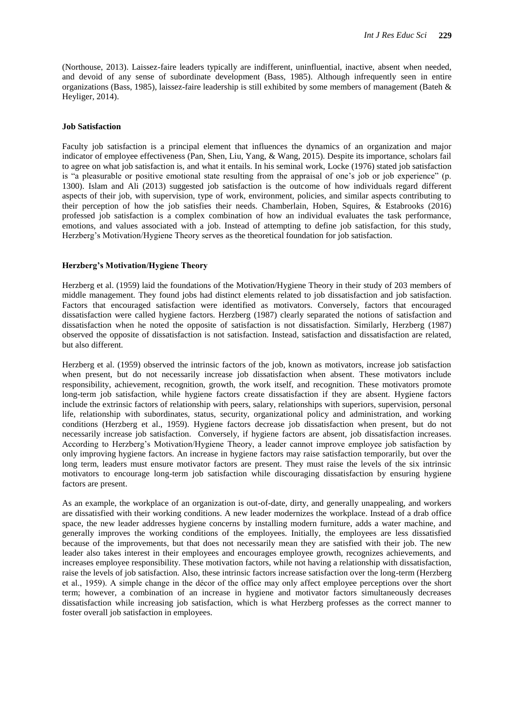(Northouse, 2013). Laissez-faire leaders typically are indifferent, uninfluential, inactive, absent when needed, and devoid of any sense of subordinate development (Bass, 1985). Although infrequently seen in entire organizations (Bass, 1985), laissez-faire leadership is still exhibited by some members of management (Bateh & Heyliger, 2014).

#### **Job Satisfaction**

Faculty job satisfaction is a principal element that influences the dynamics of an organization and major indicator of employee effectiveness (Pan, Shen, Liu, Yang, & Wang, 2015). Despite its importance, scholars fail to agree on what job satisfaction is, and what it entails. In his seminal work, Locke (1976) stated job satisfaction is "a pleasurable or positive emotional state resulting from the appraisal of one's job or job experience" (p. 1300). Islam and Ali (2013) suggested job satisfaction is the outcome of how individuals regard different aspects of their job, with supervision, type of work, environment, policies, and similar aspects contributing to their perception of how the job satisfies their needs. Chamberlain, Hoben, Squires, & Estabrooks (2016) professed job satisfaction is a complex combination of how an individual evaluates the task performance, emotions, and values associated with a job. Instead of attempting to define job satisfaction, for this study, Herzberg's Motivation/Hygiene Theory serves as the theoretical foundation for job satisfaction.

#### **Herzberg's Motivation/Hygiene Theory**

Herzberg et al. (1959) laid the foundations of the Motivation/Hygiene Theory in their study of 203 members of middle management. They found jobs had distinct elements related to job dissatisfaction and job satisfaction. Factors that encouraged satisfaction were identified as motivators. Conversely, factors that encouraged dissatisfaction were called hygiene factors. Herzberg (1987) clearly separated the notions of satisfaction and dissatisfaction when he noted the opposite of satisfaction is not dissatisfaction. Similarly, Herzberg (1987) observed the opposite of dissatisfaction is not satisfaction. Instead, satisfaction and dissatisfaction are related, but also different.

Herzberg et al. (1959) observed the intrinsic factors of the job, known as motivators, increase job satisfaction when present, but do not necessarily increase job dissatisfaction when absent. These motivators include responsibility, achievement, recognition, growth, the work itself, and recognition. These motivators promote long-term job satisfaction, while hygiene factors create dissatisfaction if they are absent. Hygiene factors include the extrinsic factors of relationship with peers, salary, relationships with superiors, supervision, personal life, relationship with subordinates, status, security, organizational policy and administration, and working conditions (Herzberg et al., 1959). Hygiene factors decrease job dissatisfaction when present, but do not necessarily increase job satisfaction. Conversely, if hygiene factors are absent, job dissatisfaction increases. According to Herzberg's Motivation/Hygiene Theory, a leader cannot improve employee job satisfaction by only improving hygiene factors. An increase in hygiene factors may raise satisfaction temporarily, but over the long term, leaders must ensure motivator factors are present. They must raise the levels of the six intrinsic motivators to encourage long-term job satisfaction while discouraging dissatisfaction by ensuring hygiene factors are present.

As an example, the workplace of an organization is out-of-date, dirty, and generally unappealing, and workers are dissatisfied with their working conditions. A new leader modernizes the workplace. Instead of a drab office space, the new leader addresses hygiene concerns by installing modern furniture, adds a water machine, and generally improves the working conditions of the employees. Initially, the employees are less dissatisfied because of the improvements, but that does not necessarily mean they are satisfied with their job. The new leader also takes interest in their employees and encourages employee growth, recognizes achievements, and increases employee responsibility. These motivation factors, while not having a relationship with dissatisfaction, raise the levels of job satisfaction. Also, these intrinsic factors increase satisfaction over the long-term (Herzberg et al., 1959). A simple change in the décor of the office may only affect employee perceptions over the short term; however, a combination of an increase in hygiene and motivator factors simultaneously decreases dissatisfaction while increasing job satisfaction, which is what Herzberg professes as the correct manner to foster overall job satisfaction in employees.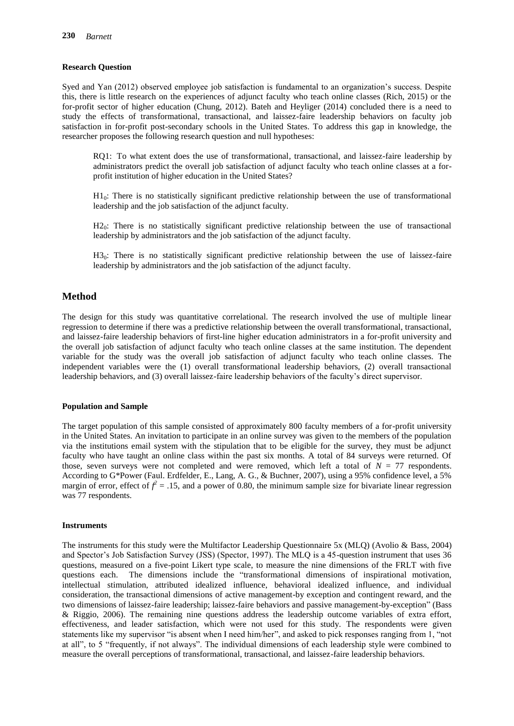# **Research Question**

Syed and Yan (2012) observed employee job satisfaction is fundamental to an organization's success. Despite this, there is little research on the experiences of adjunct faculty who teach online classes (Rich, 2015) or the for-profit sector of higher education (Chung, 2012). Bateh and Heyliger (2014) concluded there is a need to study the effects of transformational, transactional, and laissez-faire leadership behaviors on faculty job satisfaction in for-profit post-secondary schools in the United States. To address this gap in knowledge, the researcher proposes the following research question and null hypotheses:

RQ1: To what extent does the use of transformational, transactional, and laissez-faire leadership by administrators predict the overall job satisfaction of adjunct faculty who teach online classes at a forprofit institution of higher education in the United States?

 $H_0$ : There is no statistically significant predictive relationship between the use of transformational leadership and the job satisfaction of the adjunct faculty.

 $H2<sub>0</sub>$ : There is no statistically significant predictive relationship between the use of transactional leadership by administrators and the job satisfaction of the adjunct faculty.

 $H3<sub>0</sub>$ : There is no statistically significant predictive relationship between the use of laissez-faire leadership by administrators and the job satisfaction of the adjunct faculty.

# **Method**

The design for this study was quantitative correlational. The research involved the use of multiple linear regression to determine if there was a predictive relationship between the overall transformational, transactional, and laissez-faire leadership behaviors of first-line higher education administrators in a for-profit university and the overall job satisfaction of adjunct faculty who teach online classes at the same institution. The dependent variable for the study was the overall job satisfaction of adjunct faculty who teach online classes. The independent variables were the (1) overall transformational leadership behaviors, (2) overall transactional leadership behaviors, and (3) overall laissez-faire leadership behaviors of the faculty's direct supervisor.

#### **Population and Sample**

The target population of this sample consisted of approximately 800 faculty members of a for-profit university in the United States. An invitation to participate in an online survey was given to the members of the population via the institutions email system with the stipulation that to be eligible for the survey, they must be adjunct faculty who have taught an online class within the past six months. A total of 84 surveys were returned. Of those, seven surveys were not completed and were removed, which left a total of  $N = 77$  respondents. According to G\*Power (Faul. Erdfelder, E., Lang, A. G., & Buchner, 2007), using a 95% confidence level, a 5% margin of error, effect of  $f^2 = .15$ , and a power of 0.80, the minimum sample size for bivariate linear regression was 77 respondents.

### **Instruments**

The instruments for this study were the Multifactor Leadership Questionnaire 5x (MLQ) (Avolio & Bass, 2004) and Spector's Job Satisfaction Survey (JSS) (Spector, 1997). The MLQ is a 45-question instrument that uses 36 questions, measured on a five-point Likert type scale, to measure the nine dimensions of the FRLT with five questions each. The dimensions include the "transformational dimensions of inspirational motivation, intellectual stimulation, attributed idealized influence, behavioral idealized influence, and individual consideration, the transactional dimensions of active management-by exception and contingent reward, and the two dimensions of laissez-faire leadership; laissez-faire behaviors and passive management-by-exception" (Bass & Riggio, 2006). The remaining nine questions address the leadership outcome variables of extra effort, effectiveness, and leader satisfaction, which were not used for this study. The respondents were given statements like my supervisor "is absent when I need him/her", and asked to pick responses ranging from 1, "not at all", to 5 "frequently, if not always". The individual dimensions of each leadership style were combined to measure the overall perceptions of transformational, transactional, and laissez-faire leadership behaviors.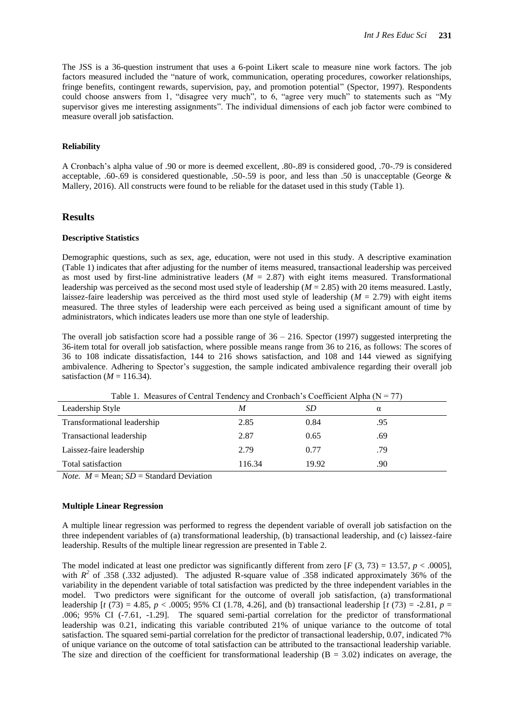The JSS is a 36-question instrument that uses a 6-point Likert scale to measure nine work factors. The job factors measured included the "nature of work, communication, operating procedures, coworker relationships, fringe benefits, contingent rewards, supervision, pay, and promotion potential" (Spector, 1997). Respondents could choose answers from 1, "disagree very much", to 6, "agree very much" to statements such as "My supervisor gives me interesting assignments". The individual dimensions of each job factor were combined to measure overall job satisfaction.

#### **Reliability**

A Cronbach's alpha value of .90 or more is deemed excellent, .80-.89 is considered good, .70-.79 is considered acceptable, .60-.69 is considered questionable, .50-.59 is poor, and less than .50 is unacceptable (George & Mallery, 2016). All constructs were found to be reliable for the dataset used in this study (Table 1).

# **Results**

#### **Descriptive Statistics**

Demographic questions, such as sex, age, education, were not used in this study. A descriptive examination (Table 1) indicates that after adjusting for the number of items measured, transactional leadership was perceived as most used by first-line administrative leaders  $(M = 2.87)$  with eight items measured. Transformational leadership was perceived as the second most used style of leadership (*M* = 2.85) with 20 items measured. Lastly, laissez-faire leadership was perceived as the third most used style of leadership (*M* = 2.79) with eight items measured. The three styles of leadership were each perceived as being used a significant amount of time by administrators, which indicates leaders use more than one style of leadership.

The overall job satisfaction score had a possible range of  $36 - 216$ . Spector (1997) suggested interpreting the 36-item total for overall job satisfaction, where possible means range from 36 to 216, as follows: The scores of 36 to 108 indicate dissatisfaction, 144 to 216 shows satisfaction, and 108 and 144 viewed as signifying ambivalence. Adhering to Spector's suggestion, the sample indicated ambivalence regarding their overall job satisfaction ( $M = 116.34$ ).

| Tuble 1. Theusthes of Centrul Tengency and Cronouen S Coemercin Tuplia (1) |        |       |     |  |  |  |
|----------------------------------------------------------------------------|--------|-------|-----|--|--|--|
| Leadership Style                                                           | M      | SD    | α   |  |  |  |
| Transformational leadership                                                | 2.85   | 0.84  | .95 |  |  |  |
| Transactional leadership                                                   | 2.87   | 0.65  | .69 |  |  |  |
| Laissez-faire leadership                                                   | 2.79   | 0.77  | .79 |  |  |  |
| Total satisfaction                                                         | 116.34 | 19.92 | .90 |  |  |  |

Table 1. Measures of Central Tendency and Cronbach's Coefficient Alpha ( $N = 77$ )

*Note.*  $M = \text{Mean}$ ;  $SD = \text{Standard Deviation}$ 

### **Multiple Linear Regression**

A multiple linear regression was performed to regress the dependent variable of overall job satisfaction on the three independent variables of (a) transformational leadership, (b) transactional leadership, and (c) laissez-faire leadership. Results of the multiple linear regression are presented in Table 2.

The model indicated at least one predictor was significantly different from zero  $[F(3, 73) = 13.57, p < .0005]$ , with  $R^2$  of .358 (.332 adjusted). The adjusted R-square value of .358 indicated approximately 36% of the variability in the dependent variable of total satisfaction was predicted by the three independent variables in the model. Two predictors were significant for the outcome of overall job satisfaction, (a) transformational leadership [*t* (73) = 4.85, *p* < .0005; 95% CI (1.78, 4.26], and (b) transactional leadership [*t* (73) = -2.81, *p* = .006; 95% CI (-7.61, -1.29]. The squared semi-partial correlation for the predictor of transformational leadership was 0.21, indicating this variable contributed 21% of unique variance to the outcome of total satisfaction. The squared semi-partial correlation for the predictor of transactional leadership, 0.07, indicated 7% of unique variance on the outcome of total satisfaction can be attributed to the transactional leadership variable. The size and direction of the coefficient for transformational leadership  $(B = 3.02)$  indicates on average, the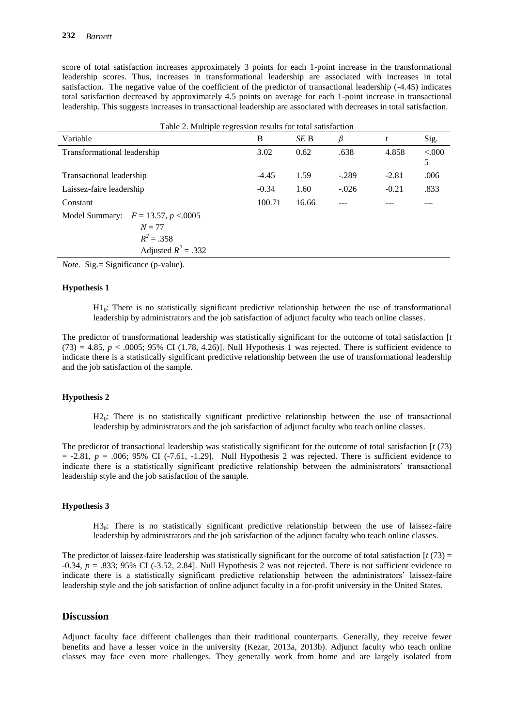score of total satisfaction increases approximately 3 points for each 1-point increase in the transformational leadership scores. Thus, increases in transformational leadership are associated with increases in total satisfaction. The negative value of the coefficient of the predictor of transactional leadership (-4.45) indicates total satisfaction decreased by approximately 4.5 points on average for each 1-point increase in transactional leadership. This suggests increases in transactional leadership are associated with decreases in total satisfaction.

| Table 2. Multiple regression results for total satisfaction |         |       |         |         |            |  |  |  |
|-------------------------------------------------------------|---------|-------|---------|---------|------------|--|--|--|
| Variable                                                    | B       | SE B  | β       | t       | Sig.       |  |  |  |
| Transformational leadership                                 | 3.02    | 0.62  | .638    | 4.858   | < 000<br>5 |  |  |  |
| Transactional leadership                                    | $-4.45$ | 1.59  | $-.289$ | $-2.81$ | .006       |  |  |  |
| Laissez-faire leadership                                    | $-0.34$ | 1.60  | $-.026$ | $-0.21$ | .833       |  |  |  |
| Constant                                                    | 100.71  | 16.66 |         |         |            |  |  |  |
| Model Summary: $F = 13.57, p < 0.0005$                      |         |       |         |         |            |  |  |  |
| $N = 77$                                                    |         |       |         |         |            |  |  |  |
| $R^2 = .358$                                                |         |       |         |         |            |  |  |  |
| Adjusted $R^2 = .332$                                       |         |       |         |         |            |  |  |  |

*Note.* Sig.= Significance (p-value).

### **Hypothesis 1**

 $H_0$ : There is no statistically significant predictive relationship between the use of transformational leadership by administrators and the job satisfaction of adjunct faculty who teach online classes.

The predictor of transformational leadership was statistically significant for the outcome of total satisfaction [*t*  $(73) = 4.85$ ,  $p < .0005$ ; 95% CI (1.78, 4.26)]. Null Hypothesis 1 was rejected. There is sufficient evidence to indicate there is a statistically significant predictive relationship between the use of transformational leadership and the job satisfaction of the sample.

#### **Hypothesis 2**

 $H2<sub>0</sub>$ : There is no statistically significant predictive relationship between the use of transactional leadership by administrators and the job satisfaction of adjunct faculty who teach online classes.

The predictor of transactional leadership was statistically significant for the outcome of total satisfaction [*t* (73)  $=$  -2.81,  $p = .006$ ; 95% CI (-7.61, -1.29]. Null Hypothesis 2 was rejected. There is sufficient evidence to indicate there is a statistically significant predictive relationship between the administrators' transactional leadership style and the job satisfaction of the sample.

# **Hypothesis 3**

H3<sub>0</sub>: There is no statistically significant predictive relationship between the use of laissez-faire leadership by administrators and the job satisfaction of the adjunct faculty who teach online classes.

The predictor of laissez-faire leadership was statistically significant for the outcome of total satisfaction  $\left[ t(73) \right]$ -0.34, *p* = .833; 95% CI (-3.52, 2.84]. Null Hypothesis 2 was not rejected. There is not sufficient evidence to indicate there is a statistically significant predictive relationship between the administrators' laissez-faire leadership style and the job satisfaction of online adjunct faculty in a for-profit university in the United States.

# **Discussion**

Adjunct faculty face different challenges than their traditional counterparts. Generally, they receive fewer benefits and have a lesser voice in the university (Kezar, 2013a, 2013b). Adjunct faculty who teach online classes may face even more challenges. They generally work from home and are largely isolated from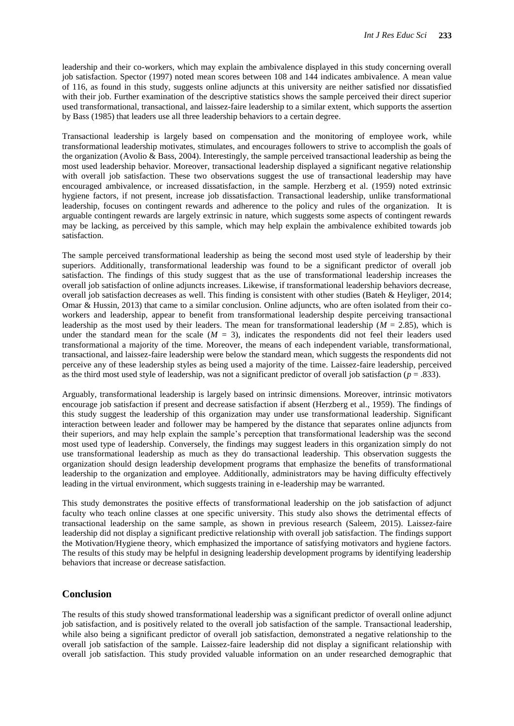leadership and their co-workers, which may explain the ambivalence displayed in this study concerning overall job satisfaction. Spector (1997) noted mean scores between 108 and 144 indicates ambivalence. A mean value of 116, as found in this study, suggests online adjuncts at this university are neither satisfied nor dissatisfied with their job. Further examination of the descriptive statistics shows the sample perceived their direct superior used transformational, transactional, and laissez-faire leadership to a similar extent, which supports the assertion by Bass (1985) that leaders use all three leadership behaviors to a certain degree.

Transactional leadership is largely based on compensation and the monitoring of employee work, while transformational leadership motivates, stimulates, and encourages followers to strive to accomplish the goals of the organization (Avolio & Bass, 2004). Interestingly, the sample perceived transactional leadership as being the most used leadership behavior. Moreover, transactional leadership displayed a significant negative relationship with overall job satisfaction. These two observations suggest the use of transactional leadership may have encouraged ambivalence, or increased dissatisfaction, in the sample. Herzberg et al. (1959) noted extrinsic hygiene factors, if not present, increase job dissatisfaction. Transactional leadership, unlike transformational leadership, focuses on contingent rewards and adherence to the policy and rules of the organization. It is arguable contingent rewards are largely extrinsic in nature, which suggests some aspects of contingent rewards may be lacking, as perceived by this sample, which may help explain the ambivalence exhibited towards job satisfaction.

The sample perceived transformational leadership as being the second most used style of leadership by their superiors. Additionally, transformational leadership was found to be a significant predictor of overall job satisfaction. The findings of this study suggest that as the use of transformational leadership increases the overall job satisfaction of online adjuncts increases. Likewise, if transformational leadership behaviors decrease, overall job satisfaction decreases as well. This finding is consistent with other studies (Bateh & Heyliger, 2014; Omar & Hussin, 2013) that came to a similar conclusion. Online adjuncts, who are often isolated from their coworkers and leadership, appear to benefit from transformational leadership despite perceiving transactional leadership as the most used by their leaders. The mean for transformational leadership (*M* = 2.85), which is under the standard mean for the scale  $(M = 3)$ , indicates the respondents did not feel their leaders used transformational a majority of the time. Moreover, the means of each independent variable, transformational, transactional, and laissez-faire leadership were below the standard mean, which suggests the respondents did not perceive any of these leadership styles as being used a majority of the time. Laissez-faire leadership, perceived as the third most used style of leadership, was not a significant predictor of overall job satisfaction (*p* = .833).

Arguably, transformational leadership is largely based on intrinsic dimensions. Moreover, intrinsic motivators encourage job satisfaction if present and decrease satisfaction if absent (Herzberg et al., 1959). The findings of this study suggest the leadership of this organization may under use transformational leadership. Significant interaction between leader and follower may be hampered by the distance that separates online adjuncts from their superiors, and may help explain the sample's perception that transformational leadership was the second most used type of leadership. Conversely, the findings may suggest leaders in this organization simply do not use transformational leadership as much as they do transactional leadership. This observation suggests the organization should design leadership development programs that emphasize the benefits of transformational leadership to the organization and employee. Additionally, administrators may be having difficulty effectively leading in the virtual environment, which suggests training in e-leadership may be warranted.

This study demonstrates the positive effects of transformational leadership on the job satisfaction of adjunct faculty who teach online classes at one specific university. This study also shows the detrimental effects of transactional leadership on the same sample, as shown in previous research (Saleem, 2015). Laissez-faire leadership did not display a significant predictive relationship with overall job satisfaction. The findings support the Motivation/Hygiene theory, which emphasized the importance of satisfying motivators and hygiene factors. The results of this study may be helpful in designing leadership development programs by identifying leadership behaviors that increase or decrease satisfaction.

# **Conclusion**

The results of this study showed transformational leadership was a significant predictor of overall online adjunct job satisfaction, and is positively related to the overall job satisfaction of the sample. Transactional leadership, while also being a significant predictor of overall job satisfaction, demonstrated a negative relationship to the overall job satisfaction of the sample. Laissez-faire leadership did not display a significant relationship with overall job satisfaction. This study provided valuable information on an under researched demographic that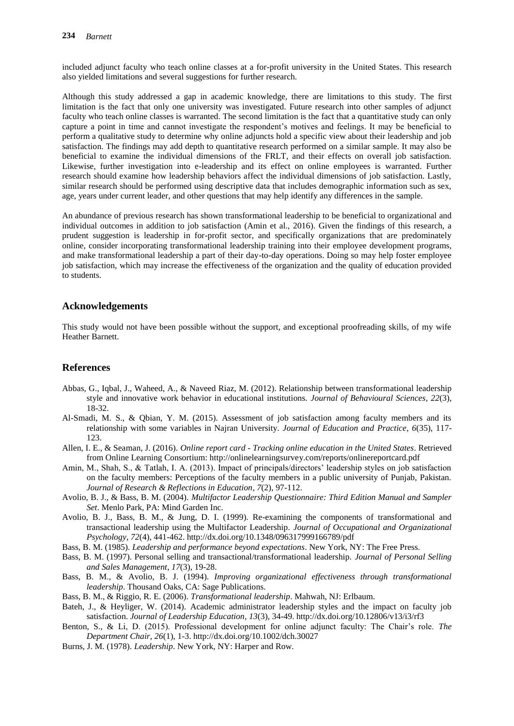included adjunct faculty who teach online classes at a for-profit university in the United States. This research also yielded limitations and several suggestions for further research.

Although this study addressed a gap in academic knowledge, there are limitations to this study. The first limitation is the fact that only one university was investigated. Future research into other samples of adjunct faculty who teach online classes is warranted. The second limitation is the fact that a quantitative study can only capture a point in time and cannot investigate the respondent's motives and feelings. It may be beneficial to perform a qualitative study to determine why online adjuncts hold a specific view about their leadership and job satisfaction. The findings may add depth to quantitative research performed on a similar sample. It may also be beneficial to examine the individual dimensions of the FRLT, and their effects on overall job satisfaction. Likewise, further investigation into e-leadership and its effect on online employees is warranted. Further research should examine how leadership behaviors affect the individual dimensions of job satisfaction. Lastly, similar research should be performed using descriptive data that includes demographic information such as sex, age, years under current leader, and other questions that may help identify any differences in the sample.

An abundance of previous research has shown transformational leadership to be beneficial to organizational and individual outcomes in addition to job satisfaction (Amin et al., 2016). Given the findings of this research, a prudent suggestion is leadership in for-profit sector, and specifically organizations that are predominately online, consider incorporating transformational leadership training into their employee development programs, and make transformational leadership a part of their day-to-day operations. Doing so may help foster employee job satisfaction, which may increase the effectiveness of the organization and the quality of education provided to students.

# **Acknowledgements**

This study would not have been possible without the support, and exceptional proofreading skills, of my wife Heather Barnett.

# **References**

- Abbas, G., Iqbal, J., Waheed, A., & Naveed Riaz, M. (2012). Relationship between transformational leadership style and innovative work behavior in educational institutions. *Journal of Behavioural Sciences*, *22*(3), 18-32.
- Al-Smadi, M. S., & Qbian, Y. M. (2015). Assessment of job satisfaction among faculty members and its relationship with some variables in Najran University. *Journal of Education and Practice*, *6*(35), 117- 123.
- Allen, I. E., & Seaman, J. (2016). *Online report card - Tracking online education in the United States*. Retrieved from Online Learning Consortium: http://onlinelearningsurvey.com/reports/onlinereportcard.pdf
- Amin, M., Shah, S., & Tatlah, I. A. (2013). Impact of principals/directors' leadership styles on job satisfaction on the faculty members: Perceptions of the faculty members in a public university of Punjab, Pakistan. *Journal of Research & Reflections in Education*, *7*(2), 97-112.
- Avolio, B. J., & Bass, B. M. (2004). *Multifactor Leadership Questionnaire: Third Edition Manual and Sampler Set*. Menlo Park, PA: Mind Garden Inc.
- Avolio, B. J., Bass, B. M., & Jung, D. I. (1999). Re-examining the components of transformational and transactional leadership using the Multifactor Leadership. *Journal of Occupational and Organizational Psychology*, *72*(4), 441-462. http://dx.doi.org/10.1348/096317999166789/pdf
- Bass, B. M. (1985). *Leadership and performance beyond expectations*. New York, NY: The Free Press.
- Bass, B. M. (1997). Personal selling and transactional/transformational leadership. *Journal of Personal Selling and Sales Management*, *17*(3), 19-28.
- Bass, B. M., & Avolio, B. J. (1994). *Improving organizational effectiveness through transformational leadership*. Thousand Oaks, CA: Sage Publications.
- Bass, B. M., & Riggio, R. E. (2006). *Transformational leadership*. Mahwah, NJ: Erlbaum.
- Bateh, J., & Heyliger, W. (2014). Academic administrator leadership styles and the impact on faculty job satisfaction. *Journal of Leadership Education*, *13*(3), 34-49. http://dx.doi.org/10.12806/v13/i3/rf3
- Benton, S., & Li, D. (2015). Professional development for online adjunct faculty: The Chair's role. *The Department Chair*, *26*(1), 1-3. http://dx.doi.org/10.1002/dch.30027
- Burns, J. M. (1978). *Leadership*. New York, NY: Harper and Row.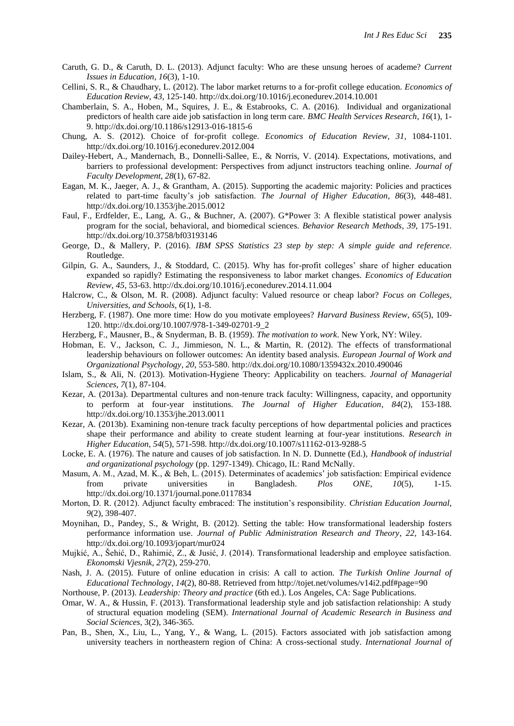- Caruth, G. D., & Caruth, D. L. (2013). Adjunct faculty: Who are these unsung heroes of academe? *Current Issues in Education*, *16*(3), 1-10.
- Cellini, S. R., & Chaudhary, L. (2012). The labor market returns to a for-profit college education. *Economics of Education Review*, *43*, 125-140. http://dx.doi.org/10.1016/j.econedurev.2014.10.001
- Chamberlain, S. A., Hoben, M., Squires, J. E., & Estabrooks, C. A. (2016). Individual and organizational predictors of health care aide job satisfaction in long term care. *BMC Health Services Research*, *16*(1), 1- 9. http://dx.doi.org/10.1186/s12913-016-1815-6
- Chung, A. S. (2012). Choice of for-profit college. *Economics of Education Review*, *31*, 1084-1101. http://dx.doi.org/10.1016/j.econedurev.2012.004
- Dailey-Hebert, A., Mandernach, B., Donnelli-Sallee, E., & Norris, V. (2014). Expectations, motivations, and barriers to professional development: Perspectives from adjunct instructors teaching online. *Journal of Faculty Development*, *28*(1), 67-82.
- Eagan, M. K., Jaeger, A. J., & Grantham, A. (2015). Supporting the academic majority: Policies and practices related to part-time faculty's job satisfaction. *The Journal of Higher Education*, *86*(3), 448-481. http://dx.doi.org/10.1353/jhe.2015.0012
- Faul, F., Erdfelder, E., Lang, A. G., & Buchner, A. (2007). G\*Power 3: A flexible statistical power analysis program for the social, behavioral, and biomedical sciences. *Behavior Research Methods*, *39*, 175-191. http://dx.doi.org/10.3758/bf03193146
- George, D., & Mallery, P. (2016). *IBM SPSS Statistics 23 step by step: A simple guide and reference*. Routledge.
- Gilpin, G. A., Saunders, J., & Stoddard, C. (2015). Why has for-profit colleges' share of higher education expanded so rapidly? Estimating the responsiveness to labor market changes. *Economics of Education Review*, *45*, 53-63. http://dx.doi.org/10.1016/j.econedurev.2014.11.004
- Halcrow, C., & Olson, M. R. (2008). Adjunct faculty: Valued resource or cheap labor? *Focus on Colleges, Universities, and Schools*, *6*(1), 1-8.
- Herzberg, F. (1987). One more time: How do you motivate employees? *Harvard Business Review*, *65*(5), 109- 120. http://dx.doi.org/10.1007/978-1-349-02701-9\_2
- Herzberg, F., Mausner, B., & Snyderman, B. B. (1959). *The motivation to work*. New York, NY: Wiley.
- Hobman, E. V., Jackson, C. J., Jimmieson, N. L., & Martin, R. (2012). The effects of transformational leadership behaviours on follower outcomes: An identity based analysis. *European Journal of Work and Organizational Psychology*, *20*, 553-580. http://dx.doi.org/10.1080/1359432x.2010.490046
- Islam, S., & Ali, N. (2013). Motivation-Hygiene Theory: Applicability on teachers. *Journal of Managerial Sciences*, *7*(1), 87-104.
- Kezar, A. (2013a). Departmental cultures and non-tenure track faculty: Willingness, capacity, and opportunity to perform at four-year institutions. *The Journal of Higher Education*, *84*(2), 153-188. http://dx.doi.org/10.1353/jhe.2013.0011
- Kezar, A. (2013b). Examining non-tenure track faculty perceptions of how departmental policies and practices shape their performance and ability to create student learning at four-year institutions. *Research in Higher Education*, *54*(5), 571-598. http://dx.doi.org/10.1007/s11162-013-9288-5
- Locke, E. A. (1976). The nature and causes of job satisfaction. In N. D. Dunnette (Ed.), *Handbook of industrial and organizational psychology* (pp. 1297-1349). Chicago, IL: Rand McNally.
- Masum, A. M., Azad, M. K., & Beh, L. (2015). Determinates of academics' job satisfaction: Empirical evidence from private universities in Bangladesh. *Plos ONE*, *10*(5), 1-15. http://dx.doi.org/10.1371/journal.pone.0117834
- Morton, D. R. (2012). Adjunct faculty embraced: The institution's responsibility. *Christian Education Journal*, *9*(2), 398-407.
- Moynihan, D., Pandey, S., & Wright, B. (2012). Setting the table: How transformational leadership fosters performance information use. *Journal of Public Administration Research and Theory*, *22*, 143-164. http://dx.doi.org/10.1093/jopart/mur024
- Mujkić, A., Šehić, D., Rahimić, Z., & Jusić, J. (2014). Transformational leadership and employee satisfaction. *Ekonomski Vjesnik*, *27*(2), 259-270.
- Nash, J. A. (2015). Future of online education in crisis: A call to action. *The Turkish Online Journal of Educational Technology*, *14*(2), 80-88. Retrieved from http://tojet.net/volumes/v14i2.pdf#page=90
- Northouse, P. (2013). *Leadership: Theory and practice* (6th ed.). Los Angeles, CA: Sage Publications.
- Omar, W. A., & Hussin, F. (2013). Transformational leadership style and job satisfaction relationship: A study of structural equation modeling (SEM). *International Journal of Academic Research in Business and Social Sciences*, 3(2), 346-365.
- Pan, B., Shen, X., Liu, L., Yang, Y., & Wang, L. (2015). Factors associated with job satisfaction among university teachers in northeastern region of China: A cross-sectional study. *International Journal of*